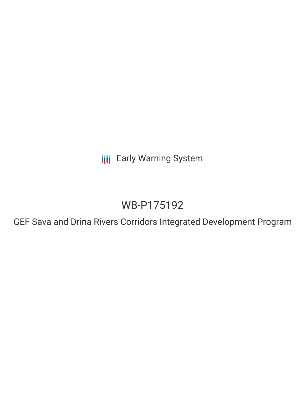**III** Early Warning System

# WB-P175192

GEF Sava and Drina Rivers Corridors Integrated Development Program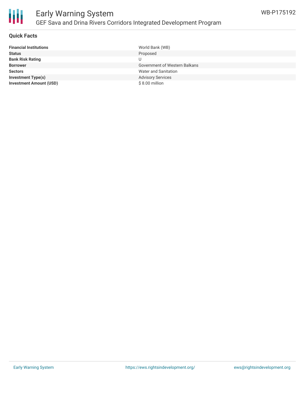

#### **Quick Facts**

| <b>Financial Institutions</b>  | World Bank (WB)                      |
|--------------------------------|--------------------------------------|
| <b>Status</b>                  | Proposed                             |
| <b>Bank Risk Rating</b>        | U                                    |
| <b>Borrower</b>                | <b>Government of Western Balkans</b> |
| <b>Sectors</b>                 | Water and Sanitation                 |
| <b>Investment Type(s)</b>      | <b>Advisory Services</b>             |
| <b>Investment Amount (USD)</b> | \$8.00 million                       |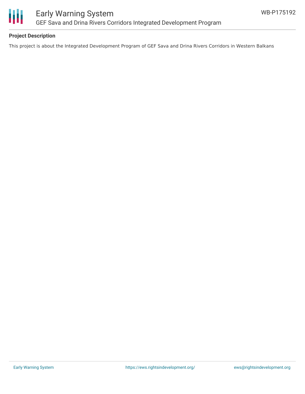

#### **Project Description**

This project is about the Integrated Development Program of GEF Sava and Drina Rivers Corridors in Western Balkans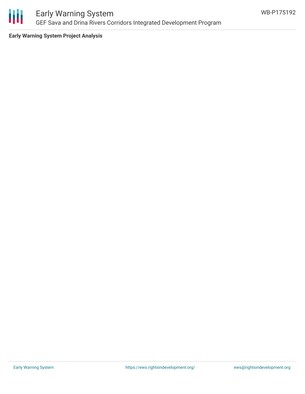

**Early Warning System Project Analysis**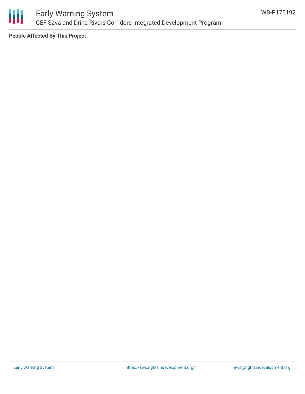

**People Affected By This Project**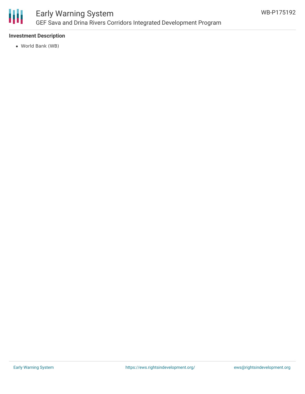

## Early Warning System GEF Sava and Drina Rivers Corridors Integrated Development Program

### **Investment Description**

World Bank (WB)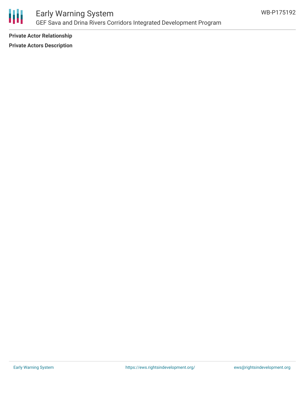

**Private Actor Relationship Private Actors Description**